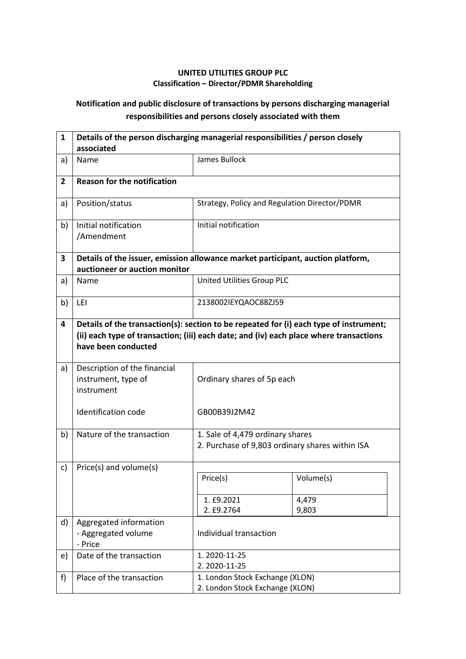## **UNITED UTILITIES GROUP PLC Classification – Director/PDMR Shareholding**

## **Notification and public disclosure of transactions by persons discharging managerial responsibilities and persons closely associated with them**

| 1              | Details of the person discharging managerial responsibilities / person closely<br>associated                     |                                                                                                                                                                                  |                |  |
|----------------|------------------------------------------------------------------------------------------------------------------|----------------------------------------------------------------------------------------------------------------------------------------------------------------------------------|----------------|--|
| a)             | Name                                                                                                             | <b>James Bullock</b>                                                                                                                                                             |                |  |
| $\overline{2}$ | <b>Reason for the notification</b>                                                                               |                                                                                                                                                                                  |                |  |
| a)             | Position/status                                                                                                  | Strategy, Policy and Regulation Director/PDMR                                                                                                                                    |                |  |
| b)             | Initial notification<br>/Amendment                                                                               | Initial notification                                                                                                                                                             |                |  |
| 3              | Details of the issuer, emission allowance market participant, auction platform,<br>auctioneer or auction monitor |                                                                                                                                                                                  |                |  |
| a)             | Name                                                                                                             | United Utilities Group PLC                                                                                                                                                       |                |  |
| b)             | LEI                                                                                                              | 2138002IEYQAOC88ZJ59                                                                                                                                                             |                |  |
| 4              | have been conducted                                                                                              | Details of the transaction(s): section to be repeated for (i) each type of instrument;<br>(ii) each type of transaction; (iii) each date; and (iv) each place where transactions |                |  |
| a)             | Description of the financial<br>instrument, type of<br>instrument                                                | Ordinary shares of 5p each                                                                                                                                                       |                |  |
|                | Identification code                                                                                              | GB00B39J2M42                                                                                                                                                                     |                |  |
| b)             | Nature of the transaction                                                                                        | 1. Sale of 4,479 ordinary shares<br>2. Purchase of 9,803 ordinary shares within ISA                                                                                              |                |  |
| c)             | Price(s) and volume(s)                                                                                           | Price(s)                                                                                                                                                                         | Volume(s)      |  |
|                |                                                                                                                  | 1. £9.2021<br>2. £9.2764                                                                                                                                                         | 4,479<br>9,803 |  |
| d)             | Aggregated information<br>- Aggregated volume<br>- Price                                                         | Individual transaction                                                                                                                                                           |                |  |
| e)             | Date of the transaction                                                                                          | 1.2020-11-25<br>2.2020-11-25                                                                                                                                                     |                |  |
| f              | Place of the transaction                                                                                         | 1. London Stock Exchange (XLON)<br>2. London Stock Exchange (XLON)                                                                                                               |                |  |